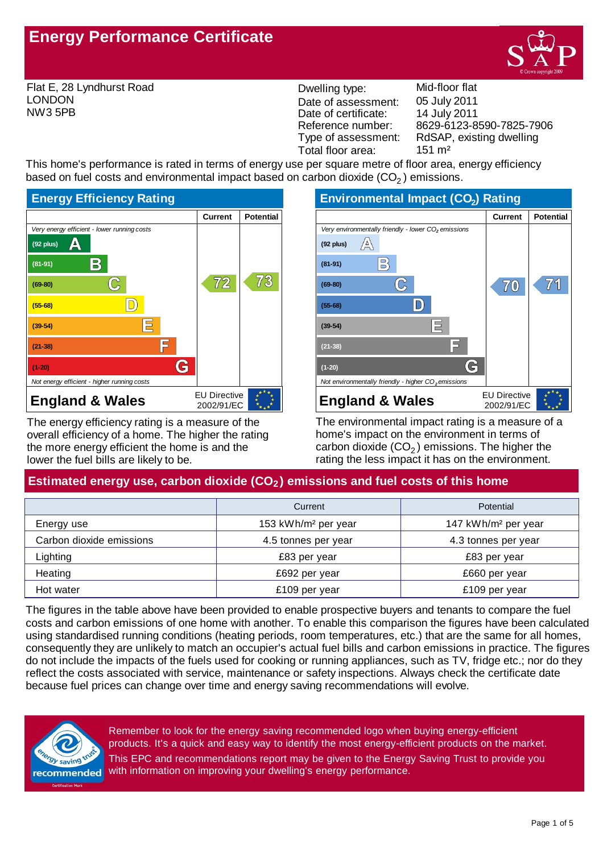# **Energy Performance Certificate**

Flat E, 28 Lyndhurst Road LONDON NW3 5PB

Dwelling type: Mid-floor flat Date of assessment: Date of certificate: Reference number: Total floor area: 151 m<sup>2</sup>

8629-6123-8590-7825-7906 14 July 2011 05 July 2011 Type of assessment: RdSAP, existing dwelling

This home's performance is rated in terms of energy use per square metre of floor area, energy efficiency based on fuel costs and environmental impact based on carbon dioxide  $(CO<sub>2</sub>)$  emissions.



The energy efficiency rating is a measure of the overall efficiency of a home. The higher the rating the more energy efficient the home is and the lower the fuel bills are likely to be.



The environmental impact rating is a measure of a home's impact on the environment in terms of carbon dioxide (CO $_2$ ) emissions. The higher the rating the less impact it has on the environment.

# Estimated energy use, carbon dioxide (CO<sub>2</sub>) emissions and fuel costs of this home

|                          | Current                         | Potential                       |
|--------------------------|---------------------------------|---------------------------------|
| Energy use               | 153 kWh/m <sup>2</sup> per year | 147 kWh/m <sup>2</sup> per year |
| Carbon dioxide emissions | 4.5 tonnes per year             | 4.3 tonnes per year             |
| Lighting                 | £83 per year                    | £83 per year                    |
| Heating                  | £692 per year                   | £660 per year                   |
| Hot water                | £109 per year                   | £109 per year                   |

The figures in the table above have been provided to enable prospective buyers and tenants to compare the fuel costs and carbon emissions of one home with another. To enable this comparison the figures have been calculated using standardised running conditions (heating periods, room temperatures, etc.) that are the same for all homes, consequently they are unlikely to match an occupier's actual fuel bills and carbon emissions in practice. The figures do not include the impacts of the fuels used for cooking or running appliances, such as TV, fridge etc.; nor do they reflect the costs associated with service, maintenance or safety inspections. Always check the certificate date because fuel prices can change over time and energy saving recommendations will evolve.



This EPC and recommendations report may be given to the Energy Saving Trust to provide you with information on improving your dwelling's energy performance. Remember to look for the energy saving recommended logo when buying energy-efficient products. It's a quick and easy way to identify the most energy-efficient products on the market.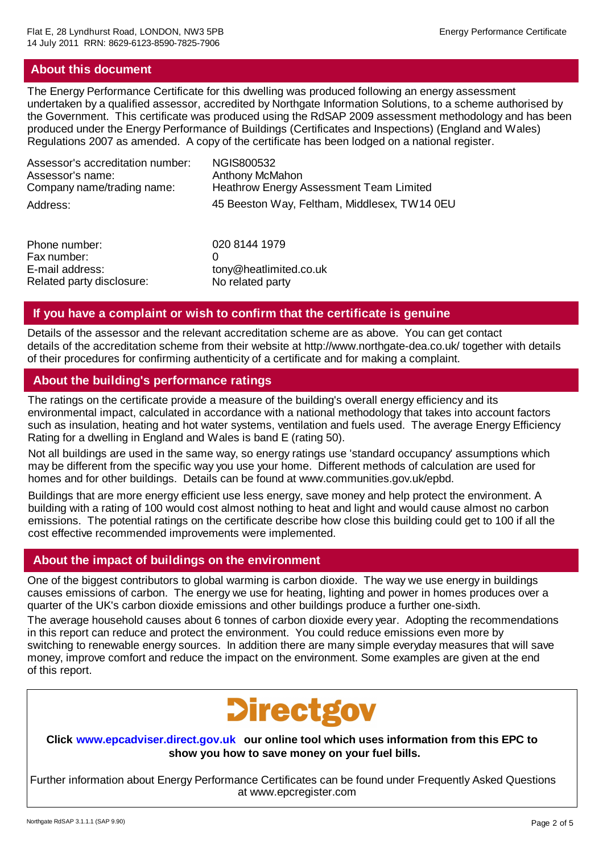## **About this document**

The Energy Performance Certificate for this dwelling was produced following an energy assessment undertaken by a qualified assessor, accredited by Northgate Information Solutions, to a scheme authorised by the Government. This certificate was produced using the RdSAP 2009 assessment methodology and has been produced under the Energy Performance of Buildings (Certificates and Inspections) (England and Wales) Regulations 2007 as amended. A copy of the certificate has been lodged on a national register.

| Assessor's accreditation number: | NGIS800532                                     |
|----------------------------------|------------------------------------------------|
| Assessor's name:                 | <b>Anthony McMahon</b>                         |
| Company name/trading name:       | <b>Heathrow Energy Assessment Team Limited</b> |
| Address:                         | 45 Beeston Way, Feltham, Middlesex, TW14 0EU   |

| 020 8144 1979          |
|------------------------|
|                        |
| tony@heatlimited.co.uk |
| No related party       |
|                        |

# **If you have a complaint or wish to confirm that the certificate is genuine**

Details of the assessor and the relevant accreditation scheme are as above. You can get contact details of the accreditation scheme from their website at http://www.northgate-dea.co.uk/ together with details of their procedures for confirming authenticity of a certificate and for making a complaint.

# **About the building's performance ratings**

The ratings on the certificate provide a measure of the building's overall energy efficiency and its environmental impact, calculated in accordance with a national methodology that takes into account factors such as insulation, heating and hot water systems, ventilation and fuels used. The average Energy Efficiency Rating for a dwelling in England and Wales is band E (rating 50).

Not all buildings are used in the same way, so energy ratings use 'standard occupancy' assumptions which may be different from the specific way you use your home. Different methods of calculation are used for homes and for other buildings. Details can be found at www.communities.gov.uk/epbd.

Buildings that are more energy efficient use less energy, save money and help protect the environment. A building with a rating of 100 would cost almost nothing to heat and light and would cause almost no carbon emissions. The potential ratings on the certificate describe how close this building could get to 100 if all the cost effective recommended improvements were implemented.

# **About the impact of buildings on the environment**

One of the biggest contributors to global warming is carbon dioxide. The way we use energy in buildings causes emissions of carbon. The energy we use for heating, lighting and power in homes produces over a quarter of the UK's carbon dioxide emissions and other buildings produce a further one-sixth.

The average household causes about 6 tonnes of carbon dioxide every year. Adopting the recommendations in this report can reduce and protect the environment. You could reduce emissions even more by switching to renewable energy sources. In addition there are many simple everyday measures that will save money, improve comfort and reduce the impact on the environment. Some examples are given at the end of this report.



# **Click www.epcadviser.direct.gov.uk our online tool which uses information from this EPC to show you how to save money on your fuel bills.**

Further information about Energy Performance Certificates can be found under Frequently Asked Questions at www.epcregister.com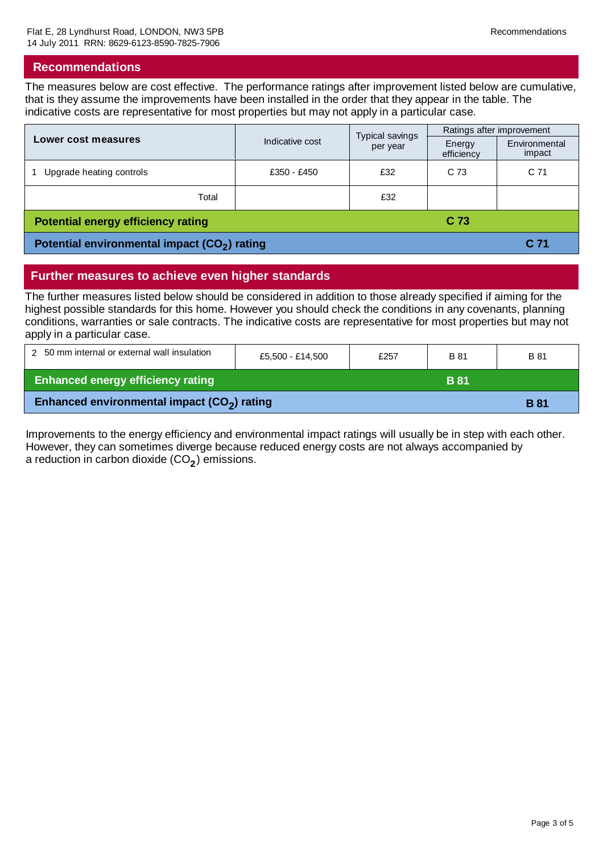#### **Recommendations**

The measures below are cost effective. The performance ratings after improvement listed below are cumulative, that is they assume the improvements have been installed in the order that they appear in the table. The indicative costs are representative for most properties but may not apply in a particular case.

|                                                              |                             | Typical savings | Ratings after improvement |                         |
|--------------------------------------------------------------|-----------------------------|-----------------|---------------------------|-------------------------|
| Lower cost measures                                          | Indicative cost<br>per year |                 | Energy<br>efficiency      | Environmental<br>impact |
| Upgrade heating controls                                     | £350 - £450                 | £32             | C <sub>73</sub>           | C <sub>71</sub>         |
| Total                                                        |                             | £32             |                           |                         |
| C <sub>73</sub><br><b>Potential energy efficiency rating</b> |                             |                 |                           |                         |
| Potential environmental impact (CO <sub>2</sub> ) rating     |                             |                 |                           | C 71                    |

## **Further measures to achieve even higher standards**

The further measures listed below should be considered in addition to those already specified if aiming for the highest possible standards for this home. However you should check the conditions in any covenants, planning conditions, warranties or sale contracts. The indicative costs are representative for most properties but may not apply in a particular case.

| 2 50 mm internal or external wall insulation                           | £5,500 - £14,500 | £257 | B 81        | B 81 |
|------------------------------------------------------------------------|------------------|------|-------------|------|
| <b>Enhanced energy efficiency rating</b>                               |                  |      | <b>B</b> 81 |      |
| Enhanced environmental impact (CO <sub>2</sub> ) rating<br><b>B</b> 81 |                  |      |             |      |

Improvements to the energy efficiency and environmental impact ratings will usually be in step with each other. However, they can sometimes diverge because reduced energy costs are not always accompanied by a reduction in carbon dioxide (CO<sub>2</sub>) emissions.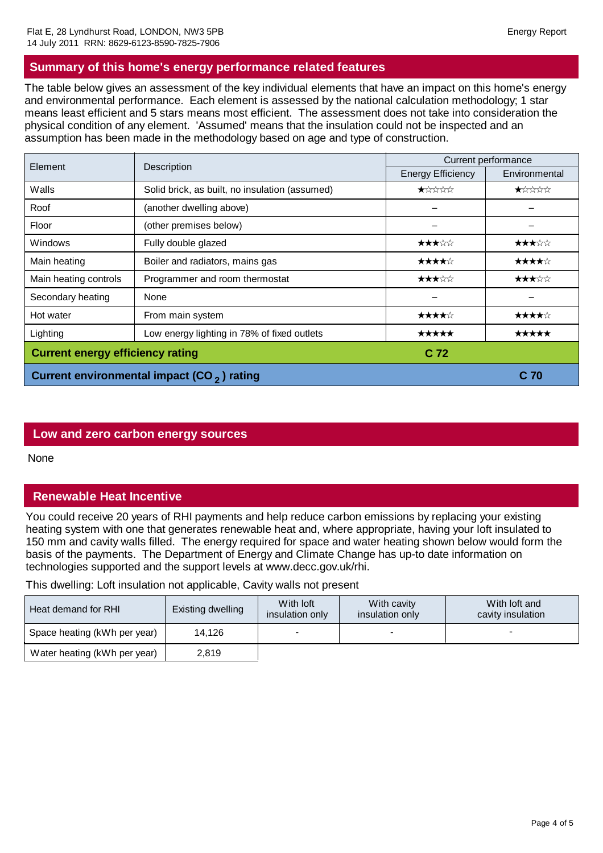# **Summary of this home's energy performance related features**

The table below gives an assessment of the key individual elements that have an impact on this home's energy and environmental performance. Each element is assessed by the national calculation methodology; 1 star means least efficient and 5 stars means most efficient. The assessment does not take into consideration the physical condition of any element. 'Assumed' means that the insulation could not be inspected and an assumption has been made in the methodology based on age and type of construction.

| Element                                                | Description                                    | Current performance      |               |  |
|--------------------------------------------------------|------------------------------------------------|--------------------------|---------------|--|
|                                                        |                                                | <b>Energy Efficiency</b> | Environmental |  |
| Walls                                                  | Solid brick, as built, no insulation (assumed) |                          |               |  |
| Roof                                                   | (another dwelling above)                       |                          |               |  |
| Floor                                                  | (other premises below)                         |                          |               |  |
| Windows                                                | Fully double glazed                            |                          |               |  |
| Main heating                                           | Boiler and radiators, mains gas                |                          |               |  |
| Main heating controls                                  | Programmer and room thermostat                 |                          |               |  |
| Secondary heating                                      | None                                           |                          |               |  |
| Hot water                                              | From main system                               |                          |               |  |
| Lighting                                               | Low energy lighting in 78% of fixed outlets    |                          |               |  |
| <b>Current energy efficiency rating</b>                |                                                | C 72                     |               |  |
| Current environmental impact (CO <sub>2</sub> ) rating |                                                |                          | C 70          |  |

#### **Low and zero carbon energy sources**

None

# **Renewable Heat Incentive**

You could receive 20 years of RHI payments and help reduce carbon emissions by replacing your existing heating system with one that generates renewable heat and, where appropriate, having your loft insulated to 150 mm and cavity walls filled. The energy required for space and water heating shown below would form the basis of the payments. The Department of Energy and Climate Change has up-to date information on technologies supported and the support levels at www.decc.gov.uk/rhi.

This dwelling: Loft insulation not applicable, Cavity walls not present

| Heat demand for RHI          | Existing dwelling | With loft<br>insulation only | With cavity<br>insulation only | With loft and<br>cavity insulation |
|------------------------------|-------------------|------------------------------|--------------------------------|------------------------------------|
| Space heating (kWh per year) | 14.126            | $\overline{\phantom{0}}$     |                                |                                    |
| Water heating (kWh per year) | 2,819             |                              |                                |                                    |